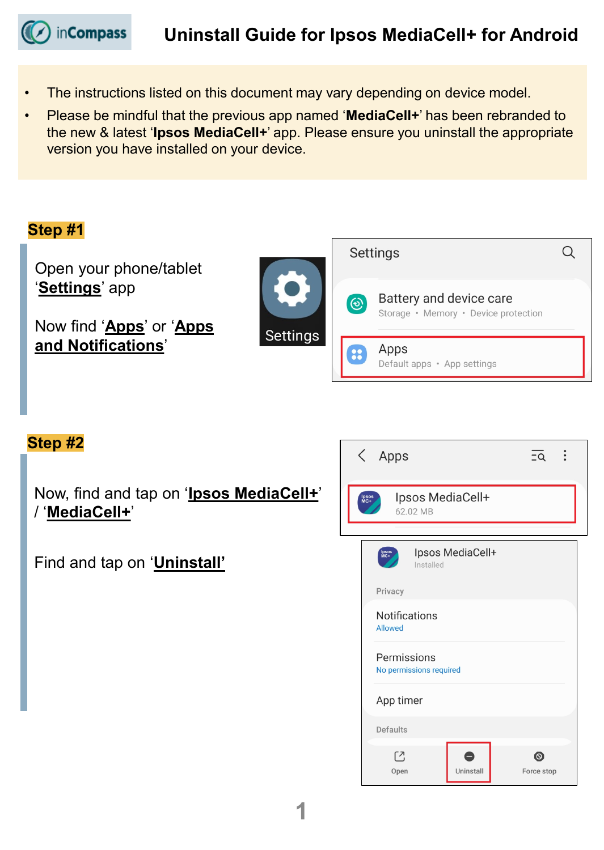in**Compass** 

- The instructions listed on this document may vary depending on device model.
- Please be mindful that the previous app named '**MediaCell+**' has been rebranded to the new & latest '**Ipsos MediaCell+**' app. Please ensure you uninstall the appropriate version you have installed on your device.



#### **Step #2**

Now, find and tap on '**Ipsos MediaCell+**' / '**MediaCell+**'

### Find and tap on '**Uninstall'**

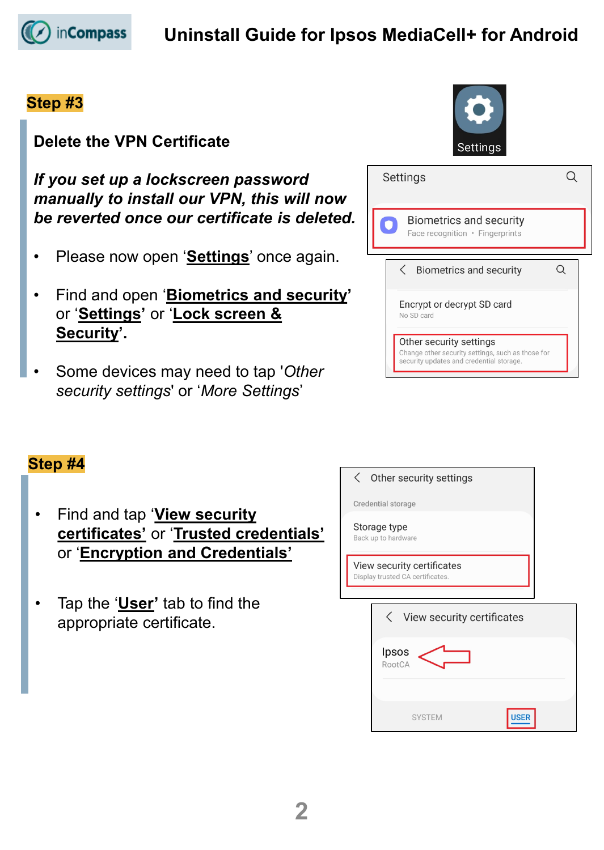

# **Uninstall Guide for Ipsos MediaCell+ for Android**

#### **Step #3**

### **Delete the VPN Certificate**

*If you set up a lockscreen password manually to install our VPN, this will now be reverted once our certificate is deleted.*

- Please now open '**Settings**' once again.
- Find and open '**Biometrics and security'** or '**Settings'** or '**Lock screen & Security'.**
- Some devices may need to tap '*Other security settings*' or '*More Settings*'



| Settings                                                                                                                 |  |
|--------------------------------------------------------------------------------------------------------------------------|--|
| <b>Biometrics and security</b><br>Face recognition • Fingerprints                                                        |  |
| <b>Biometrics and security</b>                                                                                           |  |
| Encrypt or decrypt SD card<br>No SD card                                                                                 |  |
| Other security settings<br>Change other security settings, such as those for<br>security updates and credential storage. |  |

### **Step #4**

- Find and tap '**View security certificates'** or '**Trusted credentials'** or '**Encryption and Credentials'**
- Tap the '**User'** tab to find the appropriate certificate.

Other security settings  $\langle$ 

Credential storage

Storage type Back up to hardware

View security certificates Display trusted CA certificates.

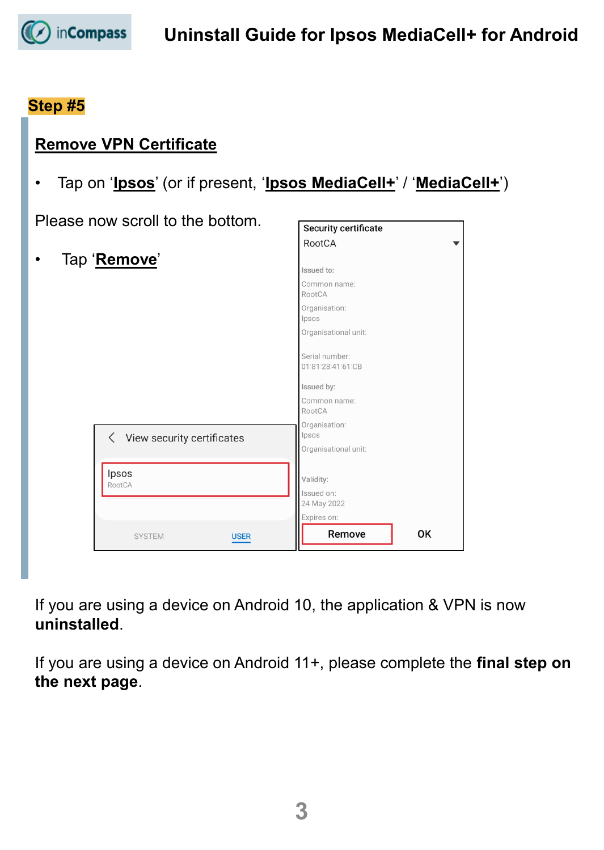

#### **Step #5**

### **Remove VPN Certificate**

• Tap on '**Ipsos**' (or if present, '**Ipsos MediaCell+**' / '**MediaCell+**')

Please now scroll to the bottom

• Tap '**Remove**'

Ipsos RootCA

| w scroll to the bottom.      | Security certificate                |    |
|------------------------------|-------------------------------------|----|
|                              | RootCA                              |    |
| <u>emove'</u>                |                                     |    |
|                              | Issued to:                          |    |
|                              | Common name:<br>RootCA              |    |
|                              | Organisation:<br>Ipsos              |    |
|                              | Organisational unit:                |    |
|                              | Serial number:<br>01:81:28:41:61:CB |    |
|                              | Issued by:                          |    |
|                              | Common name:<br>RootCA              |    |
| < View security certificates | Organisation:<br>Ipsos              |    |
|                              | Organisational unit:                |    |
| Ipsos                        | Validity:                           |    |
| RootCA                       | Issued on:                          |    |
|                              | 24 May 2022                         |    |
|                              | Expires on:                         |    |
| <b>SYSTEM</b><br><b>USER</b> | Remove                              | OK |

If you are using a device on Android 10, the application & VPN is now **uninstalled**.

If you are using a device on Android 11+, please complete the **final step on the next page**.